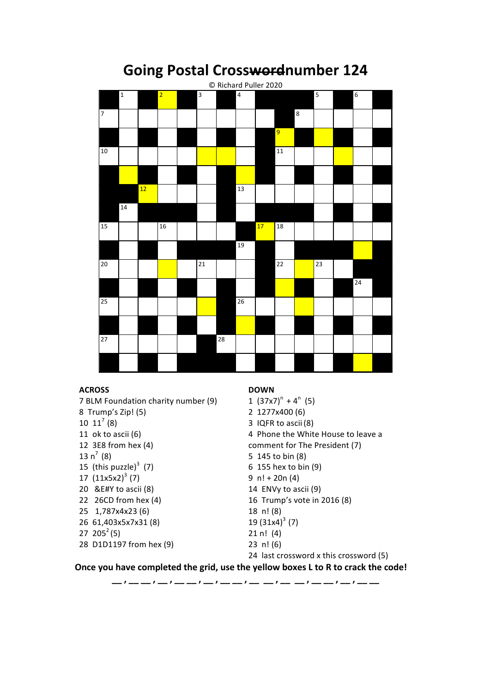# **Going Postal Crosswordnumber 124**



### **ACROSS**

7 BLM Foundation charity number (9) 8 Trump's Zip! (5)  $10 \; 11^7 \; (8)$ 11 ok to ascii  $(6)$ 12 3E8 from hex (4) 13  $n^7$  (8) 15 (this puzzle) $3$  (7) 17  $(11x5x2)^{3}$  (7) 20 & E#Y to ascii (8) 22 26CD from hex (4) 25 1,787x4x23 (6) 26 61,403x5x7x31 (8) 27 205<sup>2</sup>(5) 28 D1D1197 from hex (9)

### **DOWN**

 $1$   $(37x7)^n + 4^n$  (5) 2 1277x400 (6) 3 IQFR to ascii(8) 4 Phone the White House to leave a comment for The President (7) 5 145 to bin (8) 6 155 hex to bin (9)  $9 \text{ n}! + 20 \text{n} (4)$ 14 ENVy to ascii (9) 16 Trump's vote in 2016 (8) 18 n! (8) 19  $(31x4)^3$  (7)  $21 n! (4)$  $23 \; n! (6)$ 24 last crossword x this crossword (5)

Once you have completed the grid, use the yellow boxes L to R to crack the code!

**\_\_ , \_\_ \_\_ , \_\_ , \_\_ \_\_ , \_\_ , \_\_ \_\_ , \_\_ \_\_ , \_\_ \_\_ , \_\_ \_\_ , \_\_ , \_\_ \_\_**